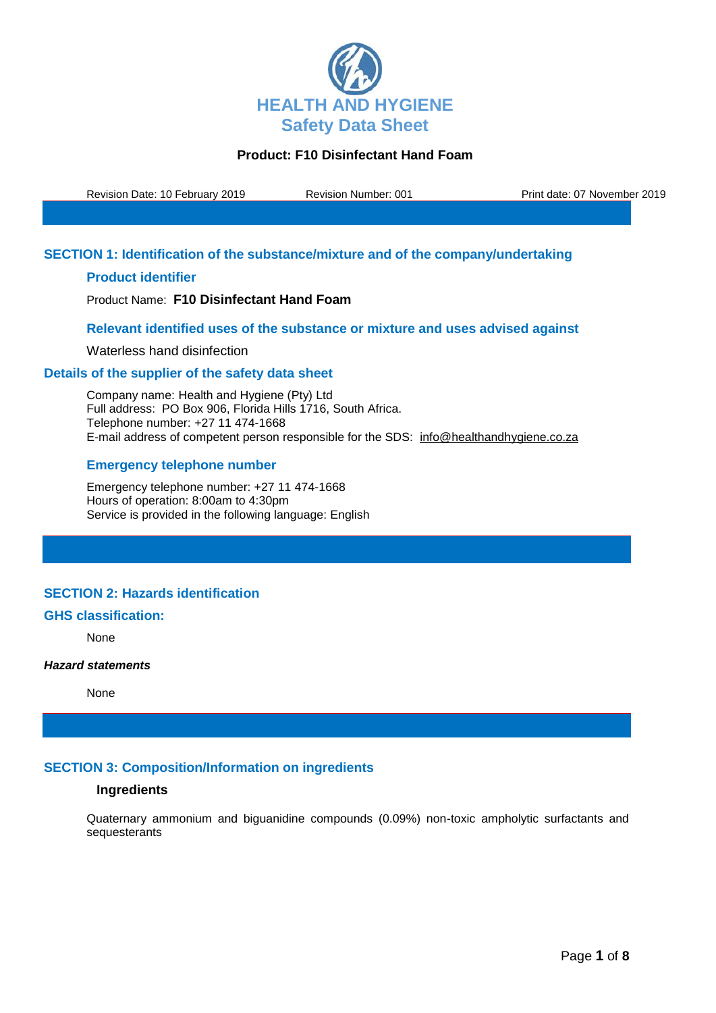

Revision Date: 10 February 2019 Revision Number: 001 Print date: 07 November 2019

## **SECTION 1: Identification of the substance/mixture and of the company/undertaking**

## **Product identifier**

Product Name: **F10 Disinfectant Hand Foam**

### **Relevant identified uses of the substance or mixture and uses advised against**

Waterless hand disinfection

### **Details of the supplier of the safety data sheet**

Company name: Health and Hygiene (Pty) Ltd Full address: PO Box 906, Florida Hills 1716, South Africa. Telephone number: +27 11 474-1668 E-mail address of competent person responsible for the SDS: info@healthandhygiene.co.za

## **Emergency telephone number**

Emergency telephone number: +27 11 474-1668 Hours of operation: 8:00am to 4:30pm Service is provided in the following language: English

# **SECTION 2: Hazards identification**

#### **GHS classification:**

None

#### *Hazard statements*

None

## **SECTION 3: Composition/Information on ingredients**

### **Ingredients**

Quaternary ammonium and biguanidine compounds (0.09%) non-toxic ampholytic surfactants and sequesterants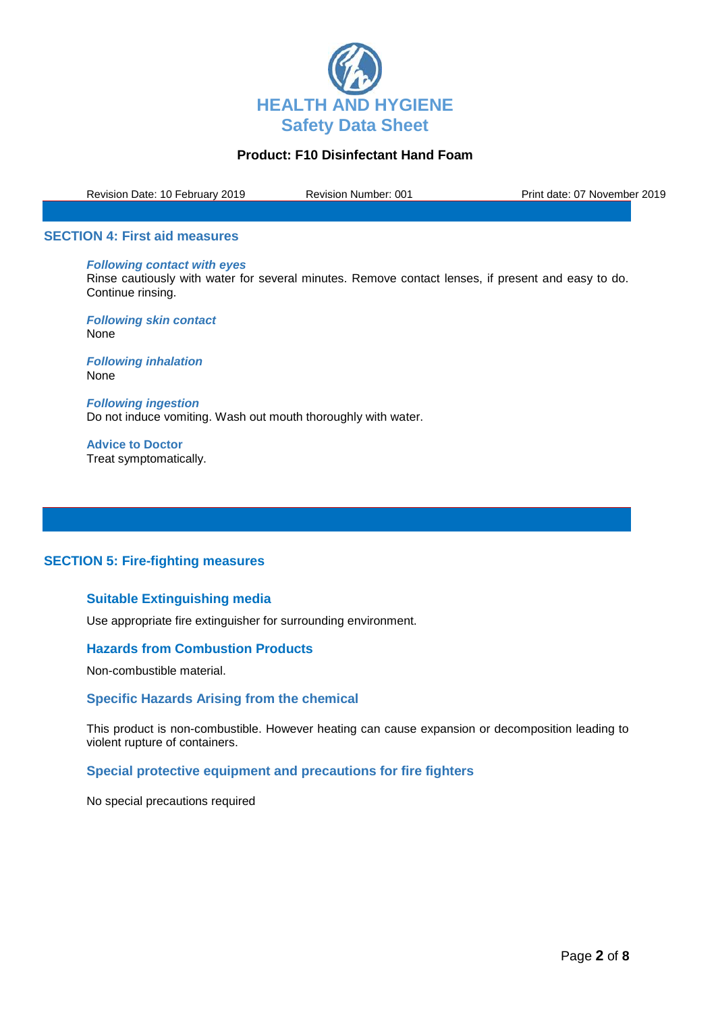

Revision Date: 10 February 2019 Revision Number: 001 Print date: 07 November 2019

#### **SECTION 4: First aid measures**

*Following contact with eyes* Rinse cautiously with water for several minutes. Remove contact lenses, if present and easy to do. Continue rinsing.

*Following skin contact* None

*Following inhalation* None

*Following ingestion* Do not induce vomiting. Wash out mouth thoroughly with water.

**Advice to Doctor** Treat symptomatically.

## **SECTION 5: Fire-fighting measures**

# **Suitable Extinguishing media**

Use appropriate fire extinguisher for surrounding environment.

#### **Hazards from Combustion Products**

Non-combustible material.

### **Specific Hazards Arising from the chemical**

This product is non-combustible. However heating can cause expansion or decomposition leading to violent rupture of containers.

## **Special protective equipment and precautions for fire fighters**

No special precautions required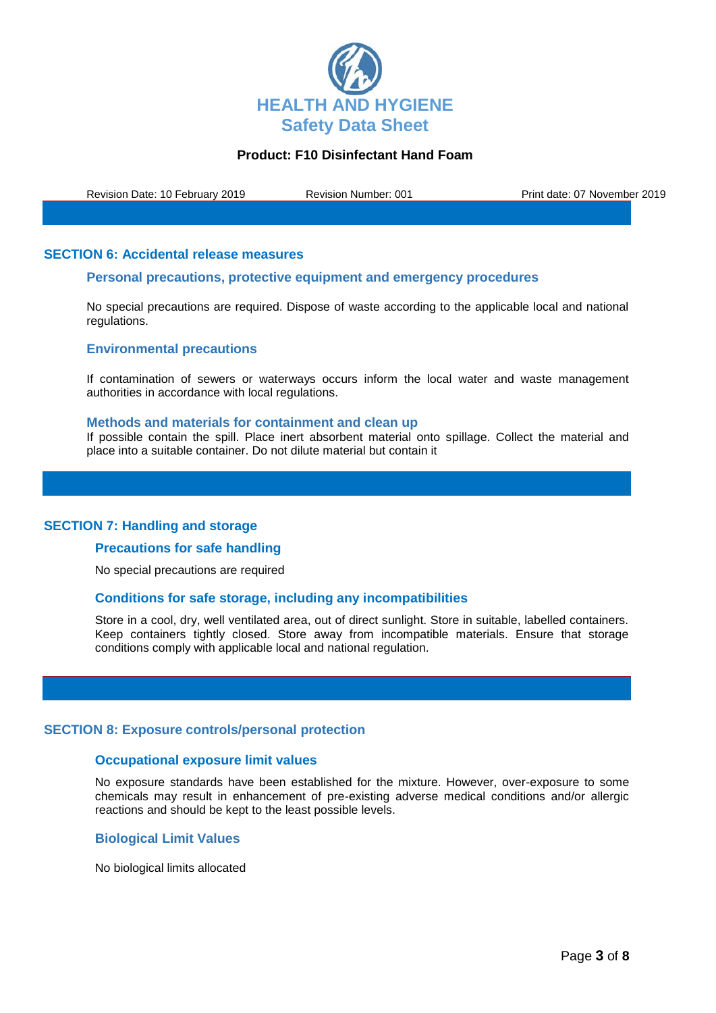

Revision Date: 10 February 2019 Revision Number: 001 Print date: 07 November 2019

### **SECTION 6: Accidental release measures**

### **Personal precautions, protective equipment and emergency procedures**

No special precautions are required. Dispose of waste according to the applicable local and national regulations.

### **Environmental precautions**

If contamination of sewers or waterways occurs inform the local water and waste management authorities in accordance with local regulations.

#### **Methods and materials for containment and clean up**

If possible contain the spill. Place inert absorbent material onto spillage. Collect the material and place into a suitable container. Do not dilute material but contain it

#### **SECTION 7: Handling and storage**

#### **Precautions for safe handling**

No special precautions are required

#### **Conditions for safe storage, including any incompatibilities**

Store in a cool, dry, well ventilated area, out of direct sunlight. Store in suitable, labelled containers. Keep containers tightly closed. Store away from incompatible materials. Ensure that storage conditions comply with applicable local and national regulation.

#### **SECTION 8: Exposure controls/personal protection**

#### **Occupational exposure limit values**

No exposure standards have been established for the mixture. However, over-exposure to some chemicals may result in enhancement of pre-existing adverse medical conditions and/or allergic reactions and should be kept to the least possible levels.

#### **Biological Limit Values**

No biological limits allocated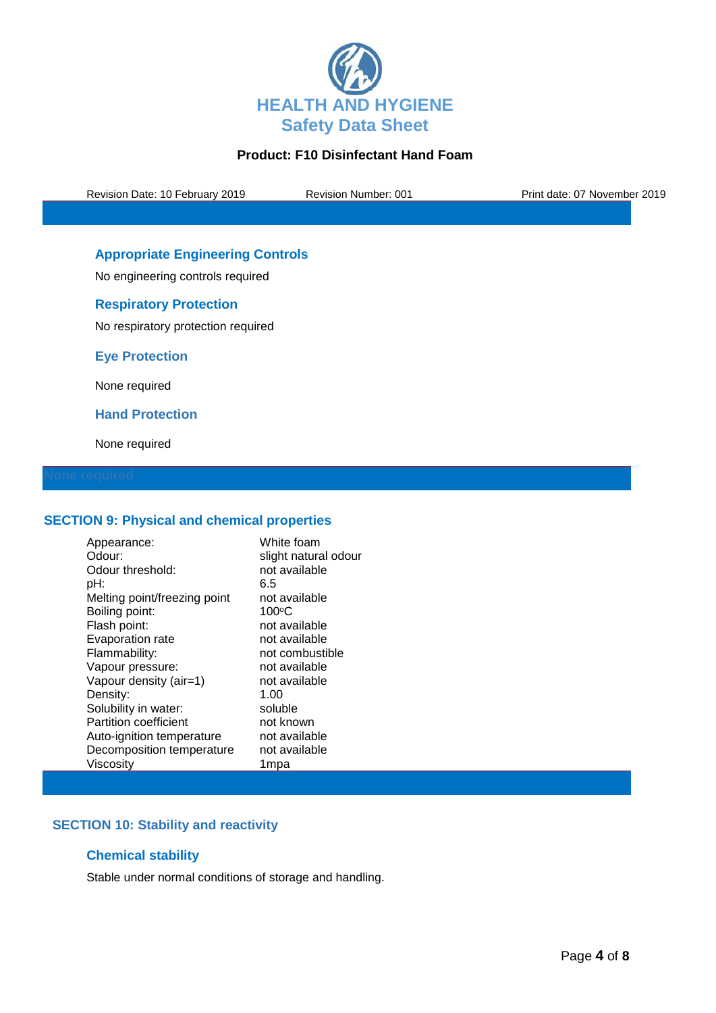

Revision Date: 10 February 2019 Revision Number: 001 Print date: 07 November 2019

# **Appropriate Engineering Controls**

No engineering controls required

## **Respiratory Protection**

No respiratory protection required

**Eye Protection**

None required

**Hand Protection**

None required

## **SECTION 9: Physical and chemical properties**

| Appearance:                  | White foam           |
|------------------------------|----------------------|
| Odour:                       | slight natural odour |
| Odour threshold:             | not available        |
| pH:                          | 6.5                  |
| Melting point/freezing point | not available        |
| Boiling point:               | $100^{\circ}$ C      |
| Flash point:                 | not available        |
| Evaporation rate             | not available        |
| Flammability:                | not combustible      |
| Vapour pressure:             | not available        |
| Vapour density (air=1)       | not available        |
| Density:                     | 1.00                 |
| Solubility in water:         | soluble              |
| <b>Partition coefficient</b> | not known            |
| Auto-ignition temperature    | not available        |
| Decomposition temperature    | not available        |
| Viscosity                    | 1mpa                 |

# **SECTION 10: Stability and reactivity**

## **Chemical stability**

Stable under normal conditions of storage and handling.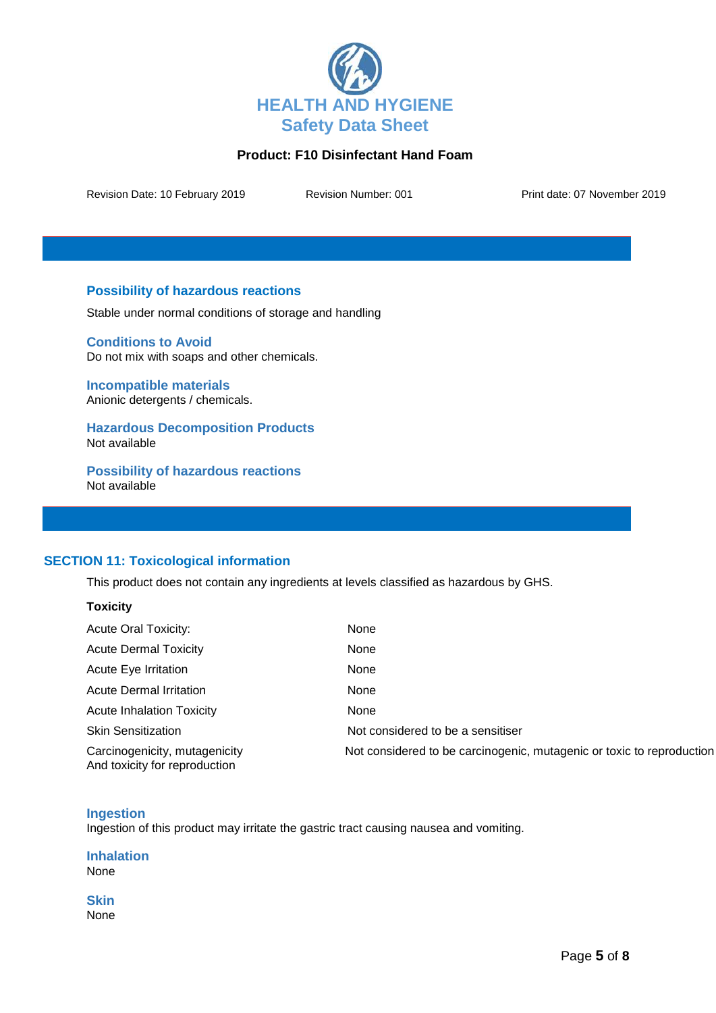

Revision Date: 10 February 2019 Revision Number: 001 Print date: 07 November 2019

## **Possibility of hazardous reactions**

Stable under normal conditions of storage and handling

**Conditions to Avoid** Do not mix with soaps and other chemicals.

**Incompatible materials** Anionic detergents / chemicals.

**Hazardous Decomposition Products** Not available

**Possibility of hazardous reactions** Not available

# **SECTION 11: Toxicological information**

This product does not contain any ingredients at levels classified as hazardous by GHS.

| <b>OXICITY</b><br>V |
|---------------------|
|---------------------|

| <b>Acute Oral Toxicity:</b>                                    | None                                                                  |
|----------------------------------------------------------------|-----------------------------------------------------------------------|
| <b>Acute Dermal Toxicity</b>                                   | None                                                                  |
| Acute Eye Irritation                                           | None                                                                  |
| Acute Dermal Irritation                                        | None                                                                  |
| <b>Acute Inhalation Toxicity</b>                               | None                                                                  |
| <b>Skin Sensitization</b>                                      | Not considered to be a sensitiser                                     |
| Carcinogenicity, mutagenicity<br>And toxicity for reproduction | Not considered to be carcinogenic, mutagenic or toxic to reproduction |

## **Ingestion**

Ingestion of this product may irritate the gastric tract causing nausea and vomiting.

**Inhalation** None

**Skin** None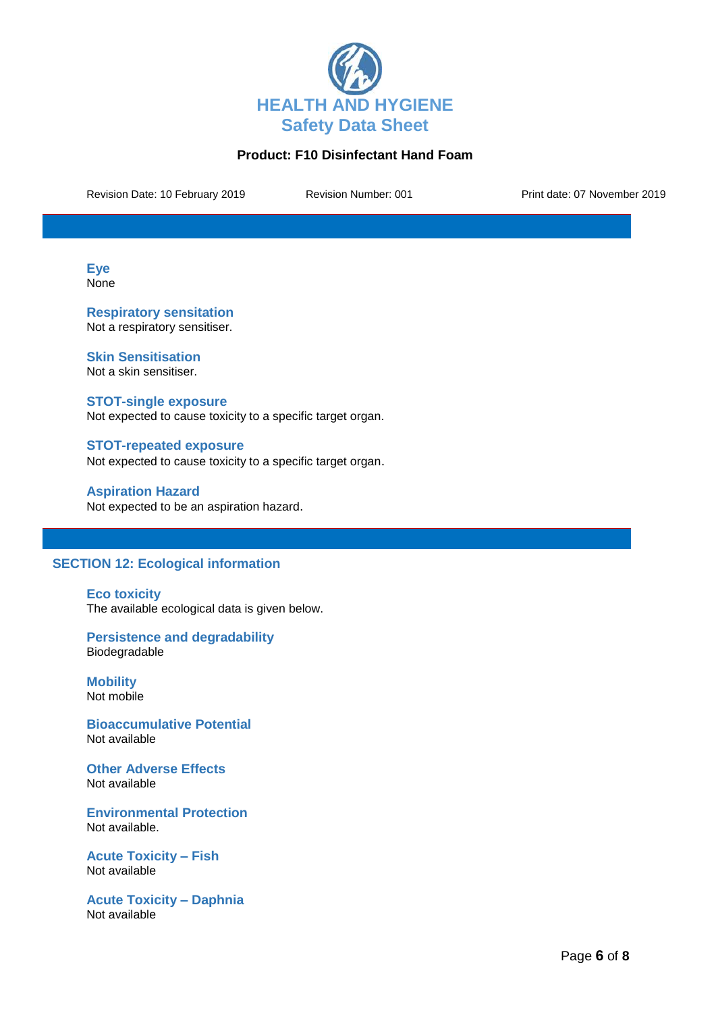

Revision Date: 10 February 2019 Revision Number: 001 Print date: 07 November 2019

**Eye** None

**Respiratory sensitation** Not a respiratory sensitiser.

**Skin Sensitisation** Not a skin sensitiser.

**STOT-single exposure** Not expected to cause toxicity to a specific target organ.

**STOT-repeated exposure** Not expected to cause toxicity to a specific target organ.

**Aspiration Hazard** Not expected to be an aspiration hazard.

## **SECTION 12: Ecological information**

**Eco toxicity** The available ecological data is given below.

**Persistence and degradability** Biodegradable

**Mobility** Not mobile

**Bioaccumulative Potential** Not available

**Other Adverse Effects** Not available

**Environmental Protection** Not available.

**Acute Toxicity – Fish** Not available

**Acute Toxicity – Daphnia** Not available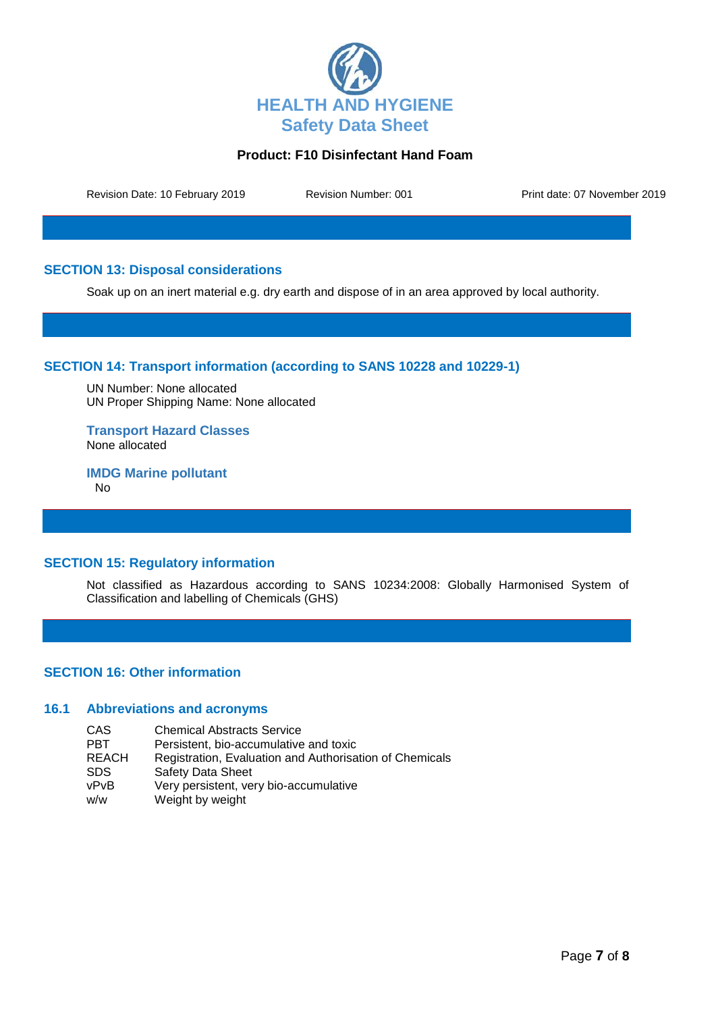

Revision Date: 10 February 2019 Revision Number: 001 Print date: 07 November 2019

## **SECTION 13: Disposal considerations**

Soak up on an inert material e.g. dry earth and dispose of in an area approved by local authority.

## **SECTION 14: Transport information (according to SANS 10228 and 10229-1)**

UN Number: None allocated UN Proper Shipping Name: None allocated

**Transport Hazard Classes** None allocated

**IMDG Marine pollutant** No

## **SECTION 15: Regulatory information**

Not classified as Hazardous according to SANS 10234:2008: Globally Harmonised System of Classification and labelling of Chemicals (GHS)

## **SECTION 16: Other information**

### **16.1 Abbreviations and acronyms**

CAS Chemical Abstracts Service<br>
PBT Persistent, bio-accumulative PBT Persistent, bio-accumulative and toxic<br>REACH Registration. Evaluation and Authorisa REACH Registration, Evaluation and Authorisation of Chemicals<br>SDS Safety Data Sheet Safety Data Sheet vPvB Very persistent, very bio-accumulative w/w Weight by weight